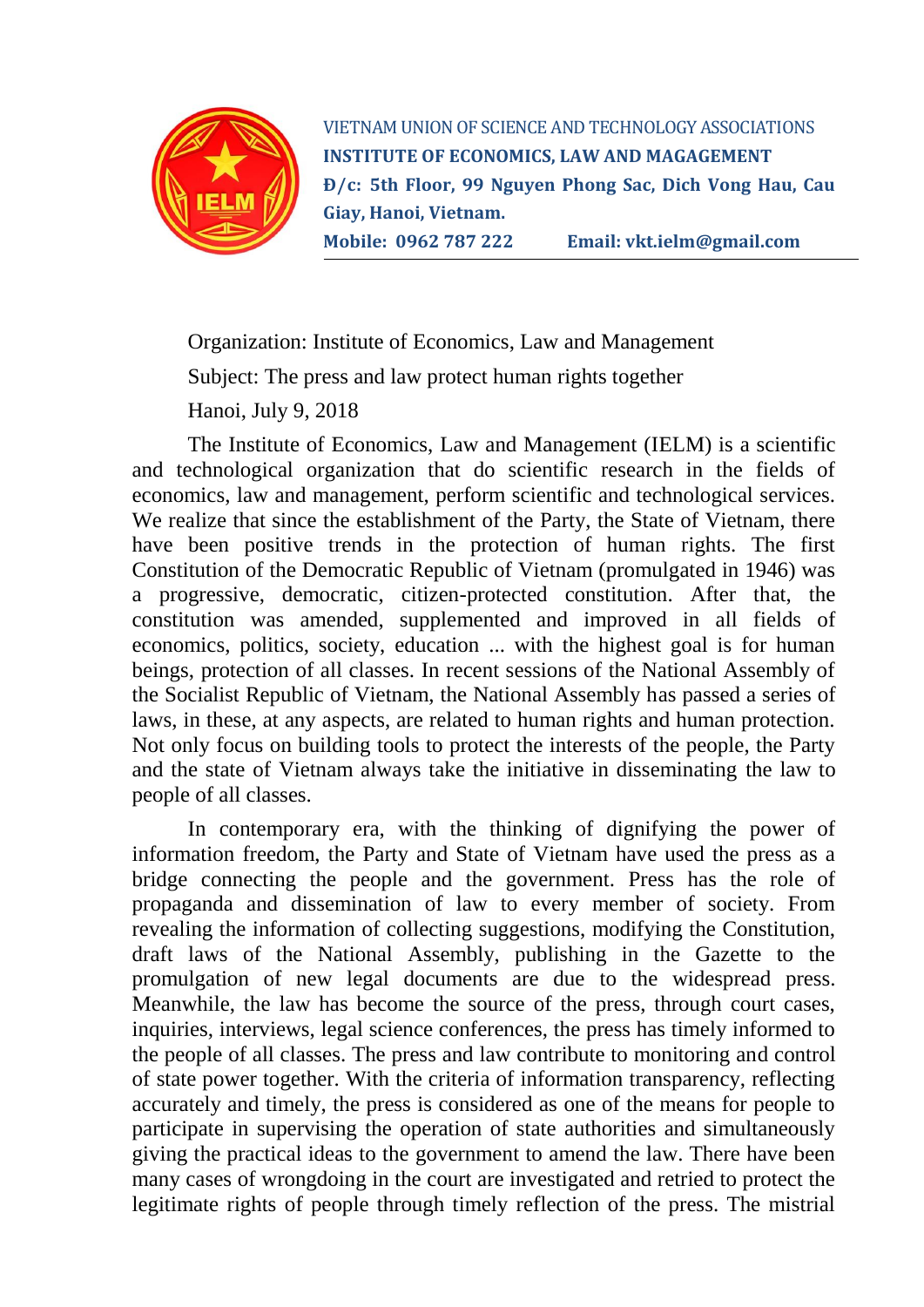

VIETNAM UNION OF SCIENCE AND TECHNOLOGY ASSOCIATIONS **INSTITUTE OF ECONOMICS, LAW AND MAGAGEMENT Đ/c: 5th Floor, 99 Nguyen Phong Sac, Dich Vong Hau, Cau Giay, Hanoi, Vietnam. Mobile: 0962 787 222 Email: [vkt.ielm@gmail.com](mailto:vkt.ielm@gmail.com)**

Organization: Institute of Economics, Law and Management

Subject: The press and law protect human rights together

Hanoi, July 9, 2018

The Institute of Economics, Law and Management (IELM) is a scientific and technological organization that do scientific research in the fields of economics, law and management, perform scientific and technological services. We realize that since the establishment of the Party, the State of Vietnam, there have been positive trends in the protection of human rights. The first Constitution of the Democratic Republic of Vietnam (promulgated in 1946) was a progressive, democratic, citizen-protected constitution. After that, the constitution was amended, supplemented and improved in all fields of economics, politics, society, education ... with the highest goal is for human beings, protection of all classes. In recent sessions of the National Assembly of the Socialist Republic of Vietnam, the National Assembly has passed a series of laws, in these, at any aspects, are related to human rights and human protection. Not only focus on building tools to protect the interests of the people, the Party and the state of Vietnam always take the initiative in disseminating the law to people of all classes.

In contemporary era, with the thinking of dignifying the power of information freedom, the Party and State of Vietnam have used the press as a bridge connecting the people and the government. Press has the role of propaganda and dissemination of law to every member of society. From revealing the information of collecting suggestions, modifying the Constitution, draft laws of the National Assembly, publishing in the Gazette to the promulgation of new legal documents are due to the widespread press. Meanwhile, the law has become the source of the press, through court cases, inquiries, interviews, legal science conferences, the press has timely informed to the people of all classes. The press and law contribute to monitoring and control of state power together. With the criteria of information transparency, reflecting accurately and timely, the press is considered as one of the means for people to participate in supervising the operation of state authorities and simultaneously giving the practical ideas to the government to amend the law. There have been many cases of wrongdoing in the court are investigated and retried to protect the legitimate rights of people through timely reflection of the press. The mistrial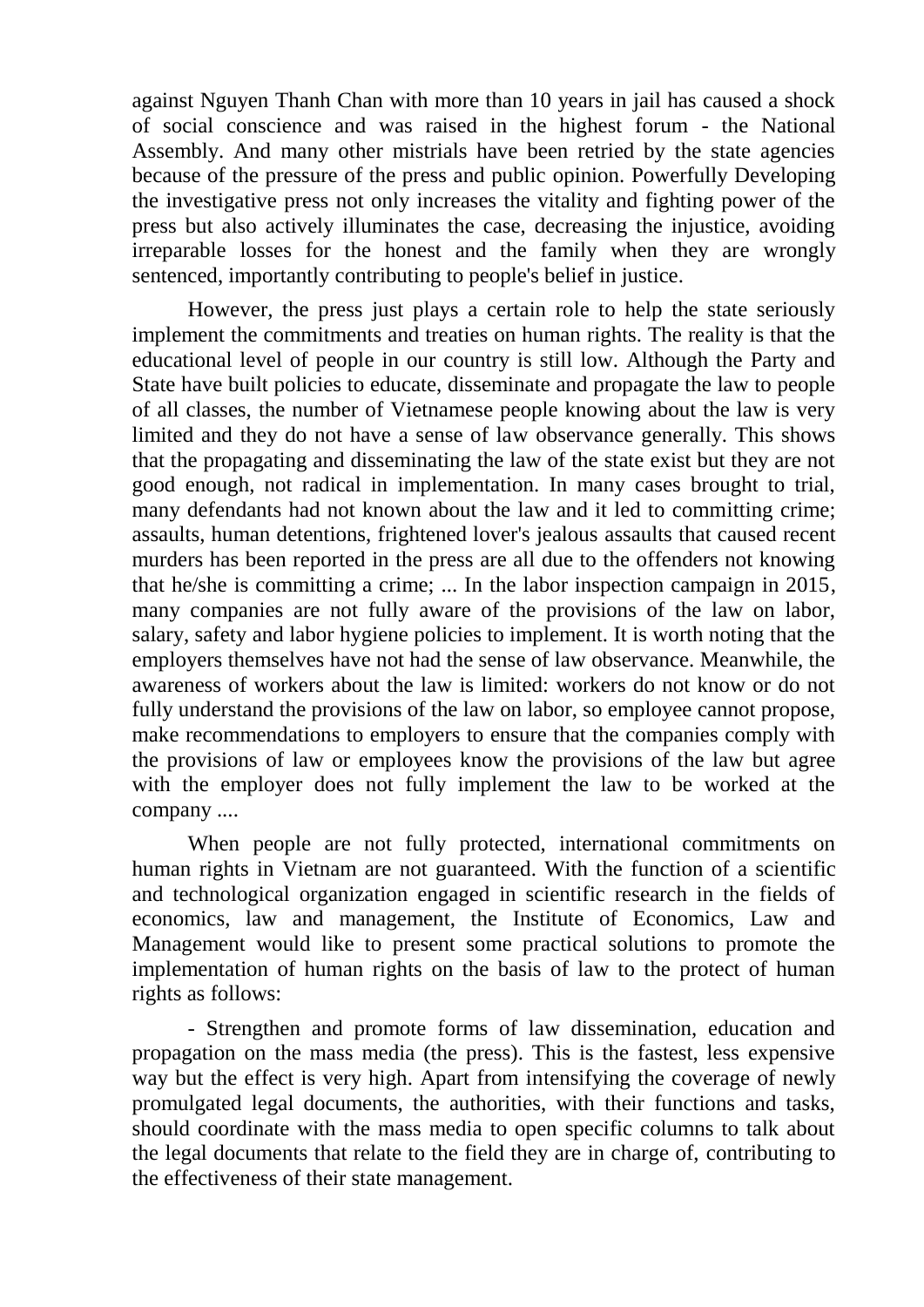against Nguyen Thanh Chan with more than 10 years in jail has caused a shock of social conscience and was raised in the highest forum - the National Assembly. And many other mistrials have been retried by the state agencies because of the pressure of the press and public opinion. Powerfully Developing the investigative press not only increases the vitality and fighting power of the press but also actively illuminates the case, decreasing the injustice, avoiding irreparable losses for the honest and the family when they are wrongly sentenced, importantly contributing to people's belief in justice.

However, the press just plays a certain role to help the state seriously implement the commitments and treaties on human rights. The reality is that the educational level of people in our country is still low. Although the Party and State have built policies to educate, disseminate and propagate the law to people of all classes, the number of Vietnamese people knowing about the law is very limited and they do not have a sense of law observance generally. This shows that the propagating and disseminating the law of the state exist but they are not good enough, not radical in implementation. In many cases brought to trial, many defendants had not known about the law and it led to committing crime; assaults, human detentions, frightened lover's jealous assaults that caused recent murders has been reported in the press are all due to the offenders not knowing that he/she is committing a crime; ... In the labor inspection campaign in 2015, many companies are not fully aware of the provisions of the law on labor, salary, safety and labor hygiene policies to implement. It is worth noting that the employers themselves have not had the sense of law observance. Meanwhile, the awareness of workers about the law is limited: workers do not know or do not fully understand the provisions of the law on labor, so employee cannot propose, make recommendations to employers to ensure that the companies comply with the provisions of law or employees know the provisions of the law but agree with the employer does not fully implement the law to be worked at the company ....

When people are not fully protected, international commitments on human rights in Vietnam are not guaranteed. With the function of a scientific and technological organization engaged in scientific research in the fields of economics, law and management, the Institute of Economics, Law and Management would like to present some practical solutions to promote the implementation of human rights on the basis of law to the protect of human rights as follows:

- Strengthen and promote forms of law dissemination, education and propagation on the mass media (the press). This is the fastest, less expensive way but the effect is very high. Apart from intensifying the coverage of newly promulgated legal documents, the authorities, with their functions and tasks, should coordinate with the mass media to open specific columns to talk about the legal documents that relate to the field they are in charge of, contributing to the effectiveness of their state management.